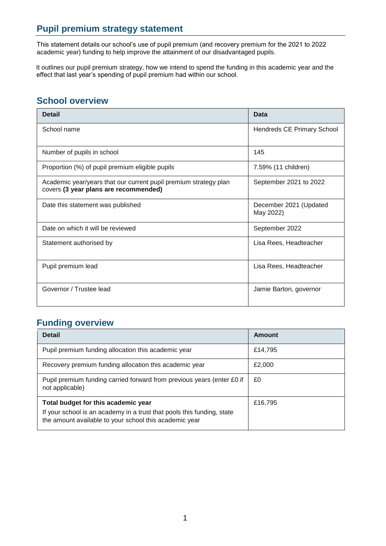# **Pupil premium strategy statement**

This statement details our school's use of pupil premium (and recovery premium for the 2021 to 2022 academic year) funding to help improve the attainment of our disadvantaged pupils.

It outlines our pupil premium strategy, how we intend to spend the funding in this academic year and the effect that last year's spending of pupil premium had within our school.

## **School overview**

| <b>Detail</b>                                                                                             | Data                                |
|-----------------------------------------------------------------------------------------------------------|-------------------------------------|
| School name                                                                                               | <b>Hendreds CE Primary School</b>   |
| Number of pupils in school                                                                                | 145                                 |
| Proportion (%) of pupil premium eligible pupils                                                           | 7.59% (11 children)                 |
| Academic year/years that our current pupil premium strategy plan<br>covers (3 year plans are recommended) | September 2021 to 2022              |
| Date this statement was published                                                                         | December 2021 (Updated<br>May 2022) |
| Date on which it will be reviewed                                                                         | September 2022                      |
| Statement authorised by                                                                                   | Lisa Rees, Headteacher              |
| Pupil premium lead                                                                                        | Lisa Rees, Headteacher              |
| Governor / Trustee lead                                                                                   | Jamie Barton, governor              |

#### **Funding overview**

| <b>Detail</b>                                                                                                                                                           | Amount  |
|-------------------------------------------------------------------------------------------------------------------------------------------------------------------------|---------|
| Pupil premium funding allocation this academic year                                                                                                                     | £14,795 |
| Recovery premium funding allocation this academic year                                                                                                                  | £2,000  |
| Pupil premium funding carried forward from previous years (enter £0 if<br>not applicable)                                                                               | £0      |
| Total budget for this academic year<br>If your school is an academy in a trust that pools this funding, state<br>the amount available to your school this academic year | £16,795 |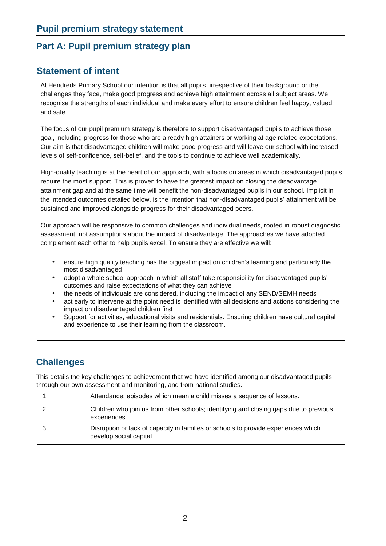## **Part A: Pupil premium strategy plan**

#### **Statement of intent**

At Hendreds Primary School our intention is that all pupils, irrespective of their background or the challenges they face, make good progress and achieve high attainment across all subject areas. We recognise the strengths of each individual and make every effort to ensure children feel happy, valued and safe.

The focus of our pupil premium strategy is therefore to support disadvantaged pupils to achieve those goal, including progress for those who are already high attainers or working at age related expectations. Our aim is that disadvantaged children will make good progress and will leave our school with increased levels of self-confidence, self-belief, and the tools to continue to achieve well academically.

High-quality teaching is at the heart of our approach, with a focus on areas in which disadvantaged pupils require the most support. This is proven to have the greatest impact on closing the disadvantage attainment gap and at the same time will benefit the non-disadvantaged pupils in our school. Implicit in the intended outcomes detailed below, is the intention that non-disadvantaged pupils' attainment will be sustained and improved alongside progress for their disadvantaged peers.

Our approach will be responsive to common challenges and individual needs, rooted in robust diagnostic assessment, not assumptions about the impact of disadvantage. The approaches we have adopted complement each other to help pupils excel. To ensure they are effective we will:

- ensure high quality teaching has the biggest impact on children's learning and particularly the most disadvantaged
- adopt a whole school approach in which all staff take responsibility for disadvantaged pupils' outcomes and raise expectations of what they can achieve
- the needs of individuals are considered, including the impact of any SEND/SEMH needs
- act early to intervene at the point need is identified with all decisions and actions considering the impact on disadvantaged children first
- Support for activities, educational visits and residentials. Ensuring children have cultural capital and experience to use their learning from the classroom.

## **Challenges**

This details the key challenges to achievement that we have identified among our disadvantaged pupils through our own assessment and monitoring, and from national studies.

| Attendance: episodes which mean a child misses a sequence of lessons.                                        |
|--------------------------------------------------------------------------------------------------------------|
| Children who join us from other schools; identifying and closing gaps due to previous<br>experiences.        |
| Disruption or lack of capacity in families or schools to provide experiences which<br>develop social capital |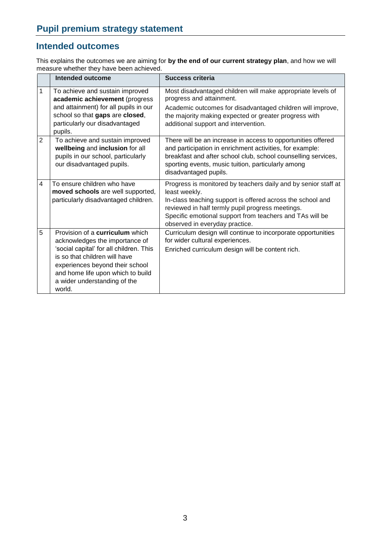## **Intended outcomes**

This explains the outcomes we are aiming for **by the end of our current strategy plan**, and how we will measure whether they have been achieved.

|                | <b>Intended outcome</b>                                                                                                                                                                                                                                                | Success criteria                                                                                                                                                                                                                                                                                |
|----------------|------------------------------------------------------------------------------------------------------------------------------------------------------------------------------------------------------------------------------------------------------------------------|-------------------------------------------------------------------------------------------------------------------------------------------------------------------------------------------------------------------------------------------------------------------------------------------------|
| 1              | To achieve and sustain improved<br>academic achievement (progress<br>and attainment) for all pupils in our<br>school so that gaps are closed,<br>particularly our disadvantaged<br>pupils.                                                                             | Most disadvantaged children will make appropriate levels of<br>progress and attainment.<br>Academic outcomes for disadvantaged children will improve,<br>the majority making expected or greater progress with<br>additional support and intervention.                                          |
| $\overline{2}$ | To achieve and sustain improved<br>wellbeing and inclusion for all<br>pupils in our school, particularly<br>our disadvantaged pupils.                                                                                                                                  | There will be an increase in access to opportunities offered<br>and participation in enrichment activities, for example:<br>breakfast and after school club, school counselling services,<br>sporting events, music tuition, particularly among<br>disadvantaged pupils.                        |
| $\overline{4}$ | To ensure children who have<br>moved schools are well supported,<br>particularly disadvantaged children.                                                                                                                                                               | Progress is monitored by teachers daily and by senior staff at<br>least weekly.<br>In-class teaching support is offered across the school and<br>reviewed in half termly pupil progress meetings.<br>Specific emotional support from teachers and TAs will be<br>observed in everyday practice. |
| 5              | Provision of a <b>curriculum</b> which<br>acknowledges the importance of<br>'social capital' for all children. This<br>is so that children will have<br>experiences beyond their school<br>and home life upon which to build<br>a wider understanding of the<br>world. | Curriculum design will continue to incorporate opportunities<br>for wider cultural experiences.<br>Enriched curriculum design will be content rich.                                                                                                                                             |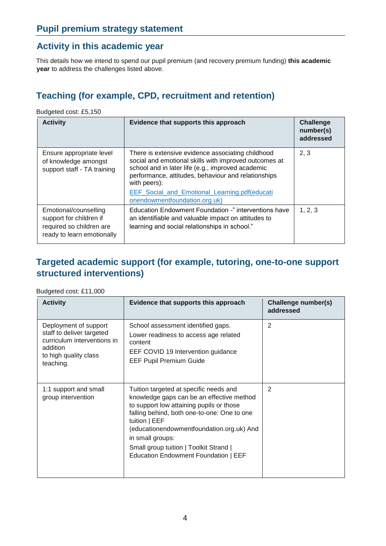## **Activity in this academic year**

This details how we intend to spend our pupil premium (and recovery premium funding) **this academic year** to address the challenges listed above.

# **Teaching (for example, CPD, recruitment and retention)**

Budgeted cost: £5,150

| <b>Activity</b>                                                                                            | Evidence that supports this approach                                                                                                                                                                                                                                                                                     | <b>Challenge</b><br>number(s)<br>addressed |
|------------------------------------------------------------------------------------------------------------|--------------------------------------------------------------------------------------------------------------------------------------------------------------------------------------------------------------------------------------------------------------------------------------------------------------------------|--------------------------------------------|
| Ensure appropriate level<br>of knowledge amongst<br>support staff - TA training                            | There is extensive evidence associating childhood<br>social and emotional skills with improved outcomes at<br>school and in later life (e.g., improved academic<br>performance, attitudes, behaviour and relationships<br>with peers):<br>EEF_Social_and_Emotional_Learning.pdf(educati<br>onendowmentfoundation.org.uk) | 2, 3                                       |
| Emotional/counselling<br>support for children if<br>required so children are<br>ready to learn emotionally | Education Endowment Foundation -" interventions have<br>an identifiable and valuable impact on attitudes to<br>learning and social relationships in school."                                                                                                                                                             | 1, 2, 3                                    |

# **Targeted academic support (for example, tutoring, one-to-one support structured interventions)**

#### Budgeted cost: £11,000

| <b>Activity</b>                                                                                                                     | Evidence that supports this approach                                                                                                                                                                                                                                                                                                               | Challenge number(s)<br>addressed |
|-------------------------------------------------------------------------------------------------------------------------------------|----------------------------------------------------------------------------------------------------------------------------------------------------------------------------------------------------------------------------------------------------------------------------------------------------------------------------------------------------|----------------------------------|
| Deployment of support<br>staff to deliver targeted<br>curriculum interventions in<br>addition<br>to high quality class<br>teaching. | School assessment identified gaps.<br>Lower readiness to access age related<br>content<br>EEF COVID 19 Intervention guidance<br><b>EEF Pupil Premium Guide</b>                                                                                                                                                                                     | 2                                |
| 1:1 support and small<br>group intervention                                                                                         | Tuition targeted at specific needs and<br>knowledge gaps can be an effective method<br>to support low attaining pupils or those<br>falling behind, both one-to-one: One to one<br>tuition   EEF<br>(educationendowmentfoundation.org.uk) And<br>in small groups:<br>Small group tuition   Toolkit Strand  <br>Education Endowment Foundation   EEF | 2                                |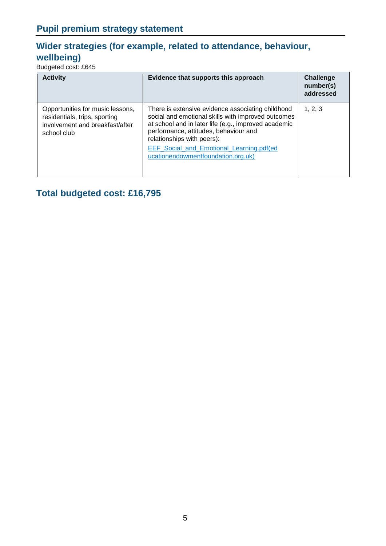# **Wider strategies (for example, related to attendance, behaviour, wellbeing)**

Budgeted cost: £645

| <b>Activity</b>                                                                                                     | Evidence that supports this approach                                                                                                                                                                                                                                                                                             | <b>Challenge</b><br>number(s)<br>addressed |
|---------------------------------------------------------------------------------------------------------------------|----------------------------------------------------------------------------------------------------------------------------------------------------------------------------------------------------------------------------------------------------------------------------------------------------------------------------------|--------------------------------------------|
| Opportunities for music lessons,<br>residentials, trips, sporting<br>involvement and breakfast/after<br>school club | There is extensive evidence associating childhood<br>social and emotional skills with improved outcomes<br>at school and in later life (e.g., improved academic<br>performance, attitudes, behaviour and<br>relationships with peers):<br><b>EEF Social and Emotional Learning.pdf(ed)</b><br>ucationendowmentfoundation.org.uk) | 1, 2, 3                                    |

**Total budgeted cost: £16,795**